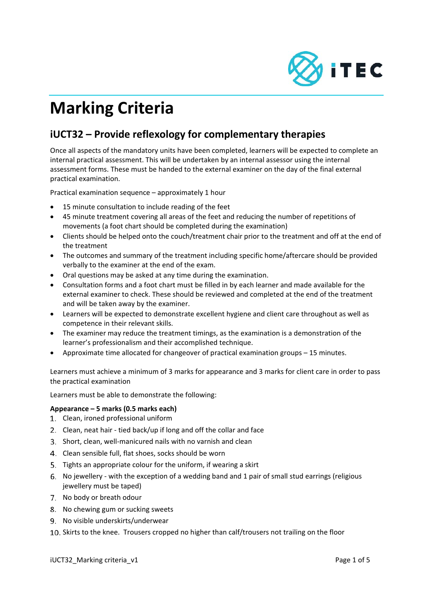

# **Marking Criteria**

# **iUCT32 – Provide reflexology for complementary therapies**

Once all aspects of the mandatory units have been completed, learners will be expected to complete an internal practical assessment. This will be undertaken by an internal assessor using the internal assessment forms. These must be handed to the external examiner on the day of the final external practical examination.

Practical examination sequence – approximately 1 hour

- 15 minute consultation to include reading of the feet
- 45 minute treatment covering all areas of the feet and reducing the number of repetitions of movements (a foot chart should be completed during the examination)
- Clients should be helped onto the couch/treatment chair prior to the treatment and off at the end of the treatment
- The outcomes and summary of the treatment including specific home/aftercare should be provided verbally to the examiner at the end of the exam.
- Oral questions may be asked at any time during the examination.
- Consultation forms and a foot chart must be filled in by each learner and made available for the external examiner to check. These should be reviewed and completed at the end of the treatment and will be taken away by the examiner.
- Learners will be expected to demonstrate excellent hygiene and client care throughout as well as competence in their relevant skills.
- The examiner may reduce the treatment timings, as the examination is a demonstration of the learner's professionalism and their accomplished technique.
- Approximate time allocated for changeover of practical examination groups 15 minutes.

Learners must achieve a minimum of 3 marks for appearance and 3 marks for client care in order to pass the practical examination

Learners must be able to demonstrate the following:

# **Appearance – 5 marks (0.5 marks each)**

- 1. Clean, ironed professional uniform
- 2. Clean, neat hair tied back/up if long and off the collar and face
- Short, clean, well‐manicured nails with no varnish and clean
- 4. Clean sensible full, flat shoes, socks should be worn
- 5. Tights an appropriate colour for the uniform, if wearing a skirt
- No jewellery ‐ with the exception of a wedding band and 1 pair of small stud earrings (religious jewellery must be taped)
- 7. No body or breath odour
- 8. No chewing gum or sucking sweets
- 9. No visible underskirts/underwear
- 10. Skirts to the knee. Trousers cropped no higher than calf/trousers not trailing on the floor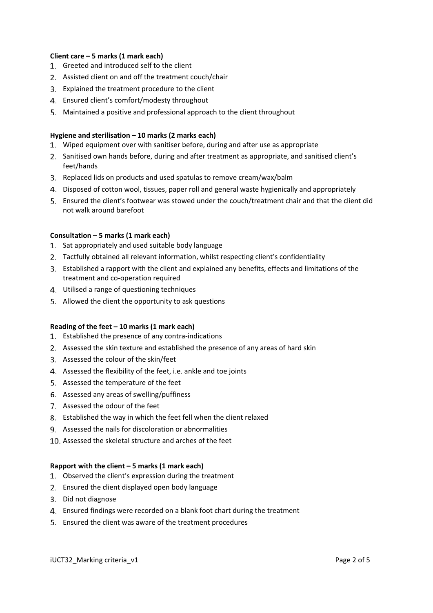#### **Client care – 5 marks (1 mark each)**

- 1. Greeted and introduced self to the client
- Assisted client on and off the treatment couch/chair
- Explained the treatment procedure to the client
- Ensured client's comfort/modesty throughout
- Maintained a positive and professional approach to the client throughout

#### **Hygiene and sterilisation – 10 marks (2 marks each)**

- Wiped equipment over with sanitiser before, during and after use as appropriate
- 2. Sanitised own hands before, during and after treatment as appropriate, and sanitised client's feet/hands
- 3. Replaced lids on products and used spatulas to remove cream/wax/balm
- Disposed of cotton wool, tissues, paper roll and general waste hygienically and appropriately
- Ensured the client's footwear was stowed under the couch/treatment chair and that the client did not walk around barefoot

#### **Consultation – 5 marks (1 mark each)**

- 1. Sat appropriately and used suitable body language
- Tactfully obtained all relevant information, whilst respecting client's confidentiality
- Established a rapport with the client and explained any benefits, effects and limitations of the treatment and co‐operation required
- Utilised a range of questioning techniques
- 5. Allowed the client the opportunity to ask questions

#### **Reading of the feet – 10 marks (1 mark each)**

- 1. Established the presence of any contra-indications
- Assessed the skin texture and established the presence of any areas of hard skin
- Assessed the colour of the skin/feet
- Assessed the flexibility of the feet, i.e. ankle and toe joints
- 5. Assessed the temperature of the feet
- Assessed any areas of swelling/puffiness
- 7. Assessed the odour of the feet
- Established the way in which the feet fell when the client relaxed
- Assessed the nails for discoloration or abnormalities
- 10. Assessed the skeletal structure and arches of the feet

#### **Rapport with the client – 5 marks (1 mark each)**

- 1. Observed the client's expression during the treatment
- 2. Ensured the client displayed open body language
- 3. Did not diagnose
- Ensured findings were recorded on a blank foot chart during the treatment
- Ensured the client was aware of the treatment procedures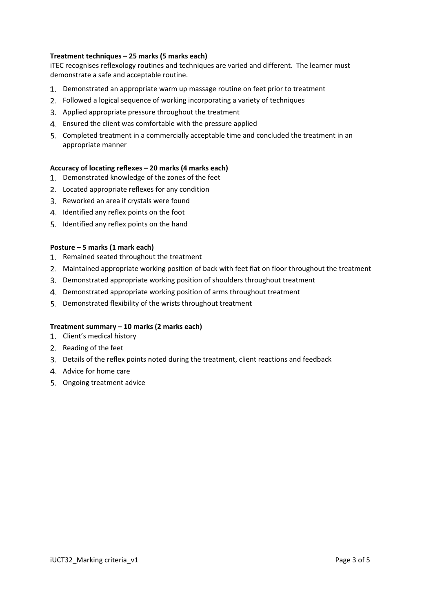# **Treatment techniques – 25 marks (5 marks each)**

iTEC recognises reflexology routines and techniques are varied and different. The learner must demonstrate a safe and acceptable routine.

- Demonstrated an appropriate warm up massage routine on feet prior to treatment
- Followed a logical sequence of working incorporating a variety of techniques
- 3. Applied appropriate pressure throughout the treatment
- Ensured the client was comfortable with the pressure applied
- Completed treatment in a commercially acceptable time and concluded the treatment in an appropriate manner

# **Accuracy of locating reflexes – 20 marks (4 marks each)**

- 1. Demonstrated knowledge of the zones of the feet
- Located appropriate reflexes for any condition
- 3. Reworked an area if crystals were found
- 4. Identified any reflex points on the foot
- 5. Identified any reflex points on the hand

# **Posture – 5 marks (1 mark each)**

- 1. Remained seated throughout the treatment
- Maintained appropriate working position of back with feet flat on floor throughout the treatment
- Demonstrated appropriate working position of shoulders throughout treatment
- Demonstrated appropriate working position of arms throughout treatment
- 5. Demonstrated flexibility of the wrists throughout treatment

# **Treatment summary – 10 marks (2 marks each)**

- 1. Client's medical history
- 2. Reading of the feet
- Details of the reflex points noted during the treatment, client reactions and feedback
- Advice for home care
- 5. Ongoing treatment advice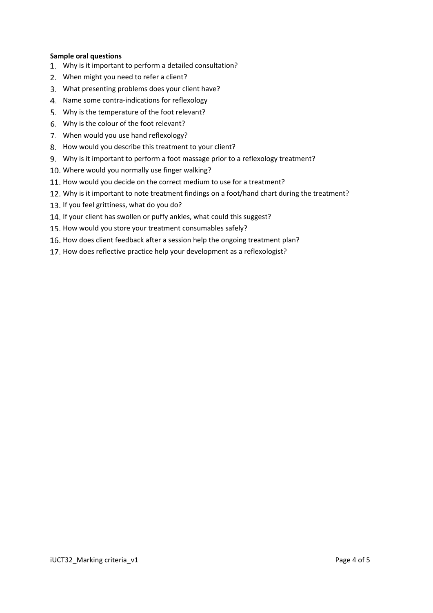#### **Sample oral questions**

- Why is it important to perform a detailed consultation?
- 2. When might you need to refer a client?
- What presenting problems does your client have?
- 4. Name some contra-indications for reflexology
- Why is the temperature of the foot relevant?
- Why is the colour of the foot relevant?
- 7. When would you use hand reflexology?
- 8. How would you describe this treatment to your client?
- Why is it important to perform a foot massage prior to a reflexology treatment?
- 10. Where would you normally use finger walking?
- 11. How would you decide on the correct medium to use for a treatment?
- 12. Why is it important to note treatment findings on a foot/hand chart during the treatment?
- 13. If you feel grittiness, what do you do?
- 14. If your client has swollen or puffy ankles, what could this suggest?
- 15. How would you store your treatment consumables safely?
- 16. How does client feedback after a session help the ongoing treatment plan?
- 17. How does reflective practice help your development as a reflexologist?